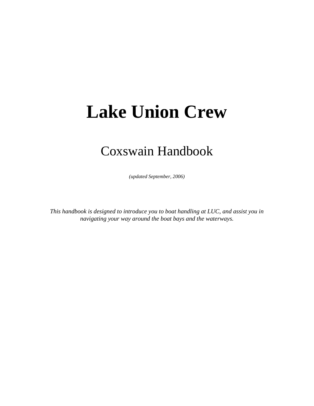# **Lake Union Crew**

## Coxswain Handbook

*(updated September, 2006)* 

*This handbook is designed to introduce you to boat handling at LUC, and assist you in navigating your way around the boat bays and the waterways.*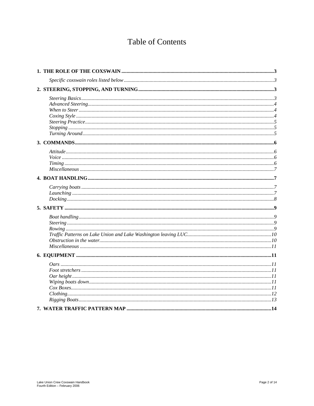## **Table of Contents**

| Miscellaneous 77 |  |
|------------------|--|
|                  |  |
|                  |  |
|                  |  |
|                  |  |
|                  |  |
|                  |  |
|                  |  |
|                  |  |
|                  |  |
| Miscellaneous 11 |  |
|                  |  |
|                  |  |
|                  |  |
|                  |  |
|                  |  |
|                  |  |
|                  |  |
|                  |  |
|                  |  |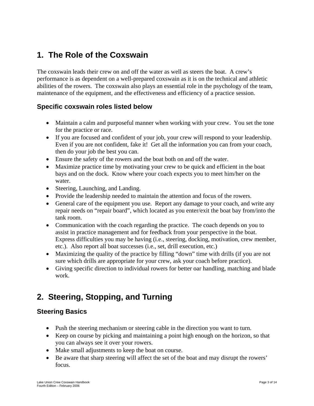## **1. The Role of the Coxswain**

The coxswain leads their crew on and off the water as well as steers the boat. A crew's performance is as dependent on a well-prepared coxswain as it is on the technical and athletic abilities of the rowers. The coxswain also plays an essential role in the psychology of the team, maintenance of the equipment, and the effectiveness and efficiency of a practice session.

#### **Specific coxswain roles listed below**

- Maintain a calm and purposeful manner when working with your crew. You set the tone for the practice or race.
- If you are focused and confident of your job, your crew will respond to your leadership. Even if you are not confident, fake it! Get all the information you can from your coach, then do your job the best you can.
- Ensure the safety of the rowers and the boat both on and off the water.
- Maximize practice time by motivating your crew to be quick and efficient in the boat bays and on the dock. Know where your coach expects you to meet him/her on the water.
- Steering, Launching, and Landing.
- Provide the leadership needed to maintain the attention and focus of the rowers.
- General care of the equipment you use. Report any damage to your coach, and write any repair needs on "repair board", which located as you enter/exit the boat bay from/into the tank room.
- Communication with the coach regarding the practice. The coach depends on you to assist in practice management and for feedback from your perspective in the boat. Express difficulties you may be having (i.e., steering, docking, motivation, crew member, etc.). Also report all boat successes (i.e., set, drill execution, etc.)
- Maximizing the quality of the practice by filling "down" time with drills (if you are not sure which drills are appropriate for your crew, ask your coach before practice).
- Giving specific direction to individual rowers for better oar handling, matching and blade work.

## **2. Steering, Stopping, and Turning**

#### **Steering Basics**

- Push the steering mechanism or steering cable in the direction you want to turn.
- Keep on course by picking and maintaining a point high enough on the horizon, so that you can always see it over your rowers.
- Make small adjustments to keep the boat on course.
- Be aware that sharp steering will affect the set of the boat and may disrupt the rowers' focus.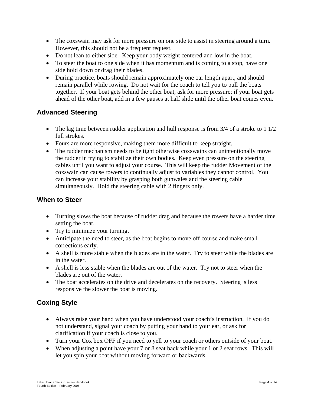- The coxswain may ask for more pressure on one side to assist in steering around a turn. However, this should not be a frequent request.
- Do not lean to either side. Keep your body weight centered and low in the boat.
- To steer the boat to one side when it has momentum and is coming to a stop, have one side hold down or drag their blades.
- During practice, boats should remain approximately one oar length apart, and should remain parallel while rowing. Do not wait for the coach to tell you to pull the boats together. If your boat gets behind the other boat, ask for more pressure; if your boat gets ahead of the other boat, add in a few pauses at half slide until the other boat comes even.

#### **Advanced Steering**

- The lag time between rudder application and hull response is from  $3/4$  of a stroke to 1  $1/2$ full strokes.
- Fours are more responsive, making them more difficult to keep straight.
- The rudder mechanism needs to be tight otherwise coxswains can unintentionally move the rudder in trying to stabilize their own bodies. Keep even pressure on the steering cables until you want to adjust your course. This will keep the rudder Movement of the coxswain can cause rowers to continually adjust to variables they cannot control. You can increase your stability by grasping both gunwales and the steering cable simultaneously. Hold the steering cable with 2 fingers only.

#### **When to Steer**

- Turning slows the boat because of rudder drag and because the rowers have a harder time setting the boat.
- Try to minimize your turning.
- Anticipate the need to steer, as the boat begins to move off course and make small corrections early.
- A shell is more stable when the blades are in the water. Try to steer while the blades are in the water.
- A shell is less stable when the blades are out of the water. Try not to steer when the blades are out of the water.
- The boat accelerates on the drive and decelerates on the recovery. Steering is less responsive the slower the boat is moving.

#### **Coxing Style**

- Always raise your hand when you have understood your coach's instruction. If you do not understand, signal your coach by putting your hand to your ear, or ask for clarification if your coach is close to you.
- Turn your Cox box OFF if you need to yell to your coach or others outside of your boat.
- When adjusting a point have your 7 or 8 seat back while your 1 or 2 seat rows. This will let you spin your boat without moving forward or backwards.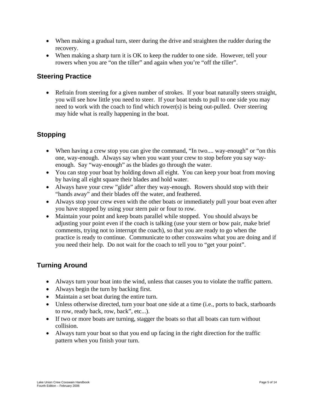- When making a gradual turn, steer during the drive and straighten the rudder during the recovery.
- When making a sharp turn it is OK to keep the rudder to one side. However, tell your rowers when you are "on the tiller" and again when you're "off the tiller".

#### **Steering Practice**

• Refrain from steering for a given number of strokes. If your boat naturally steers straight, you will see how little you need to steer. If your boat tends to pull to one side you may need to work with the coach to find which rower(s) is being out-pulled. Over steering may hide what is really happening in the boat.

#### **Stopping**

- When having a crew stop you can give the command, "In two.... way-enough" or "on this one, way-enough. Always say when you want your crew to stop before you say wayenough. Say "way-enough" as the blades go through the water.
- You can stop your boat by holding down all eight. You can keep your boat from moving by having all eight square their blades and hold water.
- Always have your crew "glide" after they way-enough. Rowers should stop with their "hands away" and their blades off the water, and feathered.
- Always stop your crew even with the other boats or immediately pull your boat even after you have stopped by using your stern pair or four to row.
- Maintain your point and keep boats parallel while stopped. You should always be adjusting your point even if the coach is talking (use your stern or bow pair, make brief comments, trying not to interrupt the coach), so that you are ready to go when the practice is ready to continue. Communicate to other coxswains what you are doing and if you need their help. Do not wait for the coach to tell you to "get your point".

#### **Turning Around**

- Always turn your boat into the wind, unless that causes you to violate the traffic pattern.
- Always begin the turn by backing first.
- Maintain a set boat during the entire turn.
- Unless otherwise directed, turn your boat one side at a time (i.e., ports to back, starboards to row, ready back, row, back", etc...).
- If two or more boats are turning, stagger the boats so that all boats can turn without collision.
- Always turn your boat so that you end up facing in the right direction for the traffic pattern when you finish your turn.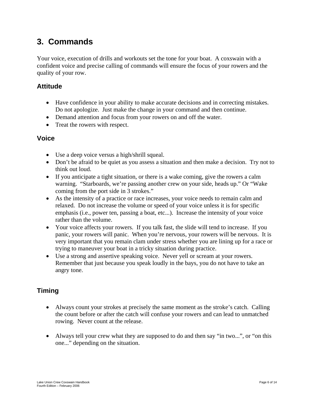## **3. Commands**

Your voice, execution of drills and workouts set the tone for your boat. A coxswain with a confident voice and precise calling of commands will ensure the focus of your rowers and the quality of your row.

#### **Attitude**

- Have confidence in your ability to make accurate decisions and in correcting mistakes. Do not apologize. Just make the change in your command and then continue.
- Demand attention and focus from your rowers on and off the water.
- Treat the rowers with respect.

#### **Voice**

- Use a deep voice versus a high/shrill squeal.
- Don't be afraid to be quiet as you assess a situation and then make a decision. Try not to think out loud.
- If you anticipate a tight situation, or there is a wake coming, give the rowers a calm warning. "Starboards, we're passing another crew on your side, heads up." Or "Wake coming from the port side in 3 strokes."
- As the intensity of a practice or race increases, your voice needs to remain calm and relaxed. Do not increase the volume or speed of your voice unless it is for specific emphasis (i.e., power ten, passing a boat, etc...). Increase the intensity of your voice rather than the volume.
- Your voice affects your rowers. If you talk fast, the slide will tend to increase. If you panic, your rowers will panic. When you're nervous, your rowers will be nervous. It is very important that you remain clam under stress whether you are lining up for a race or trying to maneuver your boat in a tricky situation during practice.
- Use a strong and assertive speaking voice. Never yell or scream at your rowers. Remember that just because you speak loudly in the bays, you do not have to take an angry tone.

#### **Timing**

- Always count your strokes at precisely the same moment as the stroke's catch. Calling the count before or after the catch will confuse your rowers and can lead to unmatched rowing. Never count at the release.
- Always tell your crew what they are supposed to do and then say "in two...", or "on this one..." depending on the situation.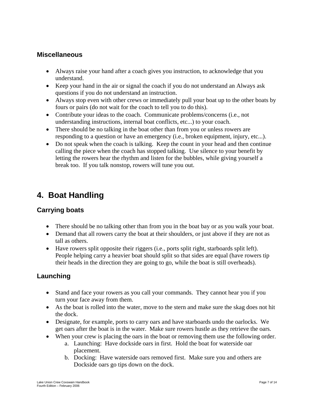#### **Miscellaneous**

- Always raise your hand after a coach gives you instruction, to acknowledge that you understand.
- Keep your hand in the air or signal the coach if you do not understand an Always ask questions if you do not understand an instruction.
- Always stop even with other crews or immediately pull your boat up to the other boats by fours or pairs (do not wait for the coach to tell you to do this).
- Contribute your ideas to the coach. Communicate problems/concerns (i.e., not understanding instructions, internal boat conflicts, etc...) to your coach.
- There should be no talking in the boat other than from you or unless rowers are responding to a question or have an emergency (i.e., broken equipment, injury, etc...).
- Do not speak when the coach is talking. Keep the count in your head and then continue calling the piece when the coach has stopped talking. Use silence to your benefit by letting the rowers hear the rhythm and listen for the bubbles, while giving yourself a break too. If you talk nonstop, rowers will tune you out.

## **4. Boat Handling**

#### **Carrying boats**

- There should be no talking other than from you in the boat bay or as you walk your boat.
- Demand that all rowers carry the boat at their shoulders, or just above if they are not as tall as others.
- Have rowers split opposite their riggers (i.e., ports split right, starboards split left). People helping carry a heavier boat should split so that sides are equal (have rowers tip their heads in the direction they are going to go, while the boat is still overheads).

#### **Launching**

- Stand and face your rowers as you call your commands. They cannot hear you if you turn your face away from them.
- As the boat is rolled into the water, move to the stern and make sure the skag does not hit the dock.
- Designate, for example, ports to carry oars and have starboards undo the oarlocks. We get oars after the boat is in the water. Make sure rowers hustle as they retrieve the oars.
- When your crew is placing the oars in the boat or removing them use the following order.
	- a. Launching: Have dockside oars in first. Hold the boat for waterside oar placement.
	- b. Docking: Have waterside oars removed first. Make sure you and others are Dockside oars go tips down on the dock.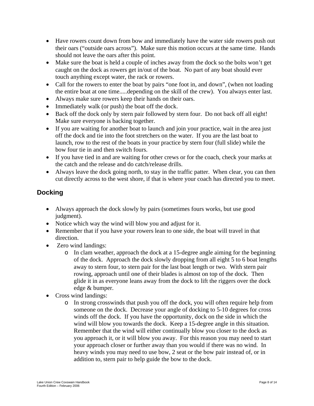- Have rowers count down from bow and immediately have the water side rowers push out their oars ("outside oars across"). Make sure this motion occurs at the same time. Hands should not leave the oars after this point.
- Make sure the boat is held a couple of inches away from the dock so the bolts won't get caught on the dock as rowers get in/out of the boat. No part of any boat should ever touch anything except water, the rack or rowers.
- Call for the rowers to enter the boat by pairs "one foot in, and down", (when not loading the entire boat at one time.....depending on the skill of the crew). You always enter last.
- Always make sure rowers keep their hands on their oars.
- Immediately walk (or push) the boat off the dock.
- Back off the dock only by stern pair followed by stern four. Do not back off all eight! Make sure everyone is backing together.
- If you are waiting for another boat to launch and join your practice, wait in the area just off the dock and tie into the foot stretchers on the water. If you are the last boat to launch, row to the rest of the boats in your practice by stern four (full slide) while the bow four tie in and then switch fours.
- If you have tied in and are waiting for other crews or for the coach, check your marks at the catch and the release and do catch/release drills.
- Always leave the dock going north, to stay in the traffic patter. When clear, you can then cut directly across to the west shore, if that is where your coach has directed you to meet.

#### **Docking**

- Always approach the dock slowly by pairs (sometimes fours works, but use good judgment).
- Notice which way the wind will blow you and adjust for it.
- Remember that if you have your rowers lean to one side, the boat will travel in that direction.
- Zero wind landings:
	- o In clam weather, approach the dock at a 15-degree angle aiming for the beginning of the dock. Approach the dock slowly dropping from all eight 5 to 6 boat lengths away to stern four, to stern pair for the last boat length or two. With stern pair rowing, approach until one of their blades is almost on top of the dock. Then glide it in as everyone leans away from the dock to lift the riggers over the dock edge & bumper.
- Cross wind landings:
	- o In strong crosswinds that push you off the dock, you will often require help from someone on the dock. Decrease your angle of docking to 5-10 degrees for cross winds off the dock. If you have the opportunity, dock on the side in which the wind will blow you towards the dock. Keep a 15-degree angle in this situation. Remember that the wind will either continually blow you closer to the dock as you approach it, or it will blow you away. For this reason you may need to start your approach closer or further away than you would if there was no wind. In heavy winds you may need to use bow, 2 seat or the bow pair instead of, or in addition to, stern pair to help guide the bow to the dock.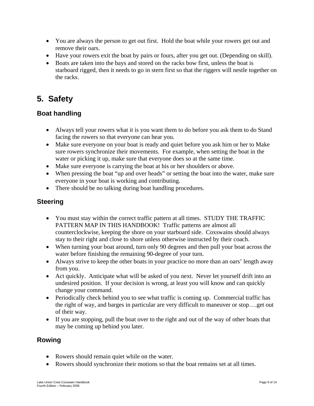- You are always the person to get out first. Hold the boat while your rowers get out and remove their oars.
- Have your rowers exit the boat by pairs or fours, after you get out. (Depending on skill).
- Boats are taken into the bays and stored on the racks bow first, unless the boat is starboard rigged, then it needs to go in stern first so that the riggers will nestle together on the racks.

## **5. Safety**

#### **Boat handling**

- Always tell your rowers what it is you want them to do before you ask them to do Stand facing the rowers so that everyone can hear you.
- Make sure everyone on your boat is ready and quiet before you ask him or her to Make sure rowers synchronize their movements. For example, when setting the boat in the water or picking it up, make sure that everyone does so at the same time.
- Make sure everyone is carrying the boat at his or her shoulders or above.
- When pressing the boat "up and over heads" or setting the boat into the water, make sure everyone in your boat is working and contributing.
- There should be no talking during boat handling procedures.

#### **Steering**

- You must stay within the correct traffic pattern at all times. STUDY THE TRAFFIC PATTERN MAP IN THIS HANDBOOK! Traffic patterns are almost all counterclockwise, keeping the shore on your starboard side. Coxswains should always stay to their right and close to shore unless otherwise instructed by their coach.
- When turning your boat around, turn only 90 degrees and then pull your boat across the water before finishing the remaining 90-degree of your turn.
- Always strive to keep the other boats in your practice no more than an oars' length away from you.
- Act quickly. Anticipate what will be asked of you next. Never let yourself drift into an undesired position. If your decision is wrong, at least you will know and can quickly change your command.
- Periodically check behind you to see what traffic is coming up. Commercial traffic has the right of way, and barges in particular are very difficult to maneuver or stop….get out of their way.
- If you are stopping, pull the boat over to the right and out of the way of other boats that may be coming up behind you later.

#### **Rowing**

- Rowers should remain quiet while on the water.
- Rowers should synchronize their motions so that the boat remains set at all times.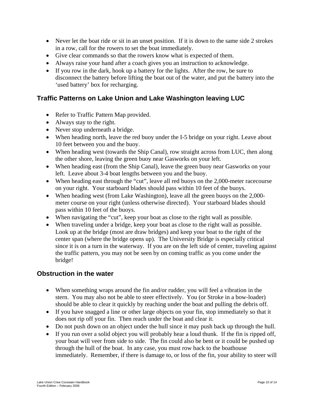- Never let the boat ride or sit in an unset position. If it is down to the same side 2 strokes in a row, call for the rowers to set the boat immediately.
- Give clear commands so that the rowers know what is expected of them.
- Always raise your hand after a coach gives you an instruction to acknowledge.
- If you row in the dark, hook up a battery for the lights. After the row, be sure to disconnect the battery before lifting the boat out of the water, and put the battery into the 'used battery' box for recharging.

#### **Traffic Patterns on Lake Union and Lake Washington leaving LUC**

- Refer to Traffic Pattern Map provided.
- Always stay to the right.
- Never stop underneath a bridge.
- When heading north, leave the red buoy under the I-5 bridge on your right. Leave about 10 feet between you and the buoy.
- When heading west (towards the Ship Canal), row straight across from LUC, then along the other shore, leaving the green buoy near Gasworks on your left.
- When heading east (from the Ship Canal), leave the green buoy near Gasworks on your left. Leave about 3-4 boat lengths between you and the buoy.
- When heading east through the "cut", leave all red buoys on the 2,000-meter racecourse on your right. Your starboard blades should pass within 10 feet of the buoys.
- When heading west (from Lake Washington), leave all the green buoys on the 2,000meter course on your right (unless otherwise directed). Your starboard blades should pass within 10 feet of the buoys.
- When navigating the "cut", keep your boat as close to the right wall as possible.
- When traveling under a bridge, keep your boat as close to the right wall as possible. Look up at the bridge (most are draw bridges) and keep your boat to the right of the center span (where the bridge opens up). The University Bridge is especially critical since it is on a turn in the waterway. If you are on the left side of center, traveling against the traffic pattern, you may not be seen by on coming traffic as you come under the bridge!

#### **Obstruction in the water**

- When something wraps around the fin and/or rudder, you will feel a vibration in the stern. You may also not be able to steer effectively. You (or Stroke in a bow-loader) should be able to clear it quickly by reaching under the boat and pulling the debris off.
- If you have snagged a line or other large objects on your fin, stop immediately so that it does not rip off your fin. Then reach under the boat and clear it.
- Do not push down on an object under the hull since it may push back up through the hull.
- If you run over a solid object you will probably hear a loud thunk. If the fin is ripped off, your boat will veer from side to side. The fin could also be bent or it could be pushed up through the hull of the boat. In any case, you must row back to the boathouse immediately. Remember, if there is damage to, or loss of the fin, your ability to steer will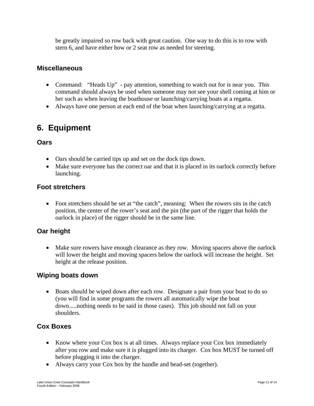be greatly impaired so row back with great caution. One way to do this is to row with stern 6, and have either bow or 2 seat row as needed for steering.

#### **Miscellaneous**

- Command: "Heads Up" pay attention, something to watch out for is near you. This command should always be used when someone may not see your shell coming at him or her such as when leaving the boathouse or launching/carrying boats at a regatta.
- Always have one person at each end of the boat when launching/carrying at a regatta.

## **6. Equipment**

#### **Oars**

- Oars should be carried tips up and set on the dock tips down.
- Make sure everyone has the correct oar and that it is placed in its oarlock correctly before launching.

#### **Foot stretchers**

• Foot stretchers should be set at "the catch", meaning: When the rowers sits in the catch position, the center of the rower's seat and the pin (the part of the rigger that holds the oarlock in place) of the rigger should be in the same line.

#### **Oar height**

• Make sure rowers have enough clearance as they row. Moving spacers above the oarlock will lower the height and moving spacers below the oarlock will increase the height. Set height at the release position.

#### **Wiping boats down**

• Boats should be wiped down after each row. Designate a pair from your boat to do so (you will find in some programs the rowers all automatically wipe the boat down.....nothing needs to be said in those cases). This job should not fall on your shoulders.

#### **Cox Boxes**

- Know where your Cox box is at all times. Always replace your Cox box immediately after you row and make sure it is plugged into its charger. Cox box MUST be turned off before plugging it into the charger.
- Always carry your Cox box by the handle and head-set (together).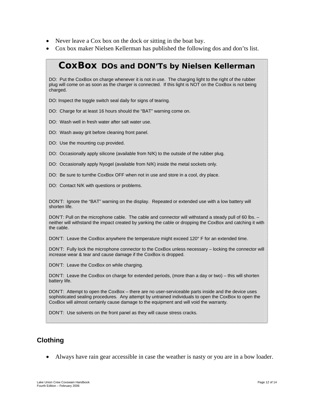- Never leave a Cox box on the dock or sitting in the boat bay.
- Cox box maker Nielsen Kellerman has published the following dos and don'ts list.

### *CoxBox DOs and DON'Ts by Nielsen Kellerman*

DO: Put the CoxBox on charge whenever it is not in use. The charging light to the right of the rubber plug will come on as soon as the charger is connected. If this light is NOT on the CoxBox is not being charged.

DO: Inspect the toggle switch seal daily for signs of tearing.

DO: Charge for at least 16 hours should the "BAT" warning come on.

DO: Wash well in fresh water after salt water use.

DO: Wash away grit before cleaning front panel.

DO: Use the mounting cup provided.

DO: Occasionally apply silicone (available from N/K) to the outside of the rubber plug.

DO: Occasionally apply Nyogel (available from N/K) inside the metal sockets only.

DO: Be sure to turnthe CoxBox OFF when not in use and store in a cool, dry place.

DO: Contact N/K with questions or problems.

DON'T: Ignore the "BAT" warning on the display. Repeated or extended use with a low battery will shorten life.

DON'T: Pull on the microphone cable. The cable and connector will withstand a steady pull of 60 lbs. neither will withstand the impact created by yanking the cable or dropping the CoxBox and catching it with the cable.

DON'T: Leave the CoxBox anywhere the temperature might exceed 120° F for an extended time.

DON'T: Fully lock the microphone connector to the CoxBox unless necessary – locking the connector will increase wear & tear and cause damage if the CoxBox is dropped.

DON'T: Leave the CoxBox on while charging.

DON'T: Leave the CoxBox on charge for extended periods, (more than a day or two) – this will shorten battery life.

DON'T: Attempt to open the CoxBox – there are no user-serviceable parts inside and the device uses sophisticated sealing procedures. Any attempt by untrained individuals to open the CoxBox to open the CoxBox will almost certainly cause damage to the equipment and will void the warranty.

DON'T: Use solvents on the front panel as they will cause stress cracks.

#### **Clothing**

• Always have rain gear accessible in case the weather is nasty or you are in a bow loader.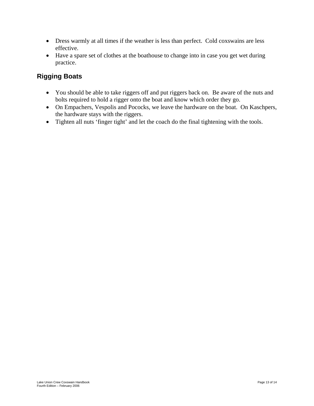- Dress warmly at all times if the weather is less than perfect. Cold coxswains are less effective.
- Have a spare set of clothes at the boathouse to change into in case you get wet during practice.

#### **Rigging Boats**

- You should be able to take riggers off and put riggers back on. Be aware of the nuts and bolts required to hold a rigger onto the boat and know which order they go.
- On Empachers, Vespolis and Pococks, we leave the hardware on the boat. On Kaschpers, the hardware stays with the riggers.
- Tighten all nuts 'finger tight' and let the coach do the final tightening with the tools.